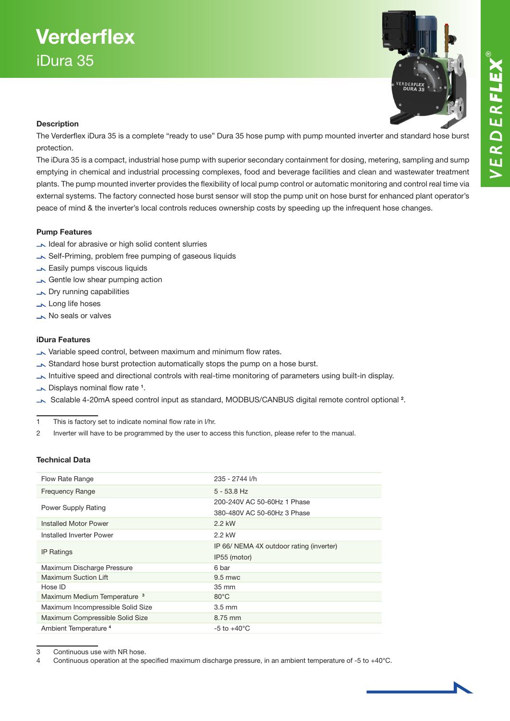## **Verderflex** iDura 35



### Description

The Verderflex iDura 35 is a complete "ready to use" Dura 35 hose pump with pump mounted inverter and standard hose burst protection.

The iDura 35 is a compact, industrial hose pump with superior secondary containment for dosing, metering, sampling and sump emptying in chemical and industrial processing complexes, food and beverage facilities and clean and wastewater treatment plants. The pump mounted inverter provides the flexibility of local pump control or automatic monitoring and control real time via external systems. The factory connected hose burst sensor will stop the pump unit on hose burst for enhanced plant operator's peace of mind & the inverter's local controls reduces ownership costs by speeding up the infrequent hose changes.

### Pump Features

- Ideal for abrasive or high solid content slurries
- Self-Priming, problem free pumping of gaseous liquids
- **Easily pumps viscous liquids**
- Gentle low shear pumping action
- **No Dry running capabilities**
- Long life hoses
- No seals or valves

### iDura Features

- Variable speed control, between maximum and minimum flow rates.
- Standard hose burst protection automatically stops the pump on a hose burst.
- Intuitive speed and directional controls with real-time monitoring of parameters using built-in display.
- Displays nominal flow rate <sup>1</sup>.
- Scalable 4-20mA speed control input as standard, MODBUS/CANBUS digital remote control optional <sup>2</sup>.

1 This is factory set to indicate nominal flow rate in l/hr.

2 Inverter will have to be programmed by the user to access this function, please refer to the manual.

### Technical Data

| Flow Rate Range                         | 235 - 2744 I/h                           |
|-----------------------------------------|------------------------------------------|
| <b>Frequency Range</b>                  | $5 - 53.8$ Hz                            |
| Power Supply Rating                     | 200-240V AC 50-60Hz 1 Phase              |
|                                         | 380-480V AC 50-60Hz 3 Phase              |
| Installed Motor Power                   | 2.2 kW                                   |
| Installed Inverter Power                | 2.2 kW                                   |
| <b>IP Ratings</b>                       | IP 66/ NEMA 4X outdoor rating (inverter) |
|                                         | IP55 (motor)                             |
| Maximum Discharge Pressure              | 6 bar                                    |
| Maximum Suction Lift                    | 9.5 mwc                                  |
| Hose ID                                 | 35 mm                                    |
| Maximum Medium Temperature <sup>3</sup> | $80^{\circ}$ C                           |
| Maximum Incompressible Solid Size       | $3.5 \text{ mm}$                         |
| Maximum Compressible Solid Size         | 8.75 mm                                  |
| Ambient Temperature <sup>4</sup>        | $-5$ to $+40^{\circ}$ C                  |

3 Continuous use with NR hose.

4 Continuous operation at the specified maximum discharge pressure, in an ambient temperature of -5 to +40°C.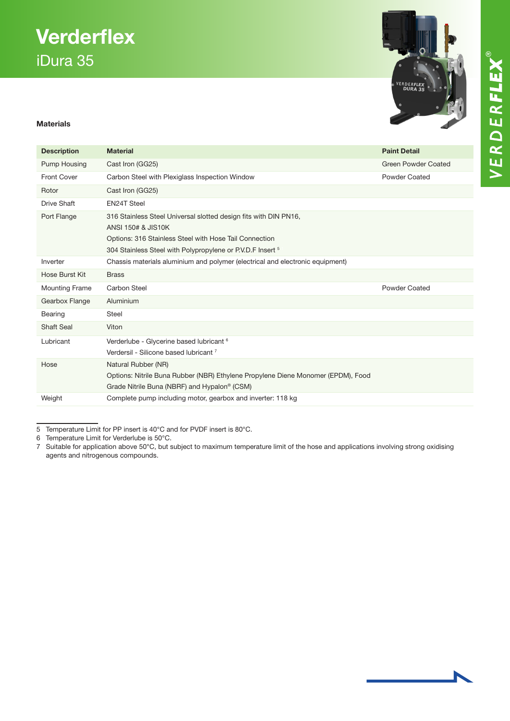# VERDERFLEX®

## **Verderflex** iDura 35

## ,<br>VERDER**FLEX**<br>**DURA 35**

### Materials

| <b>Description</b>    | <b>Material</b>                                                                                                                                                                                                | <b>Paint Detail</b>        |  |
|-----------------------|----------------------------------------------------------------------------------------------------------------------------------------------------------------------------------------------------------------|----------------------------|--|
| Pump Housing          | Cast Iron (GG25)                                                                                                                                                                                               | <b>Green Powder Coated</b> |  |
| <b>Front Cover</b>    | Carbon Steel with Plexiglass Inspection Window                                                                                                                                                                 | <b>Powder Coated</b>       |  |
| Rotor                 | Cast Iron (GG25)                                                                                                                                                                                               |                            |  |
| Drive Shaft           | <b>EN24T Steel</b>                                                                                                                                                                                             |                            |  |
| Port Flange           | 316 Stainless Steel Universal slotted design fits with DIN PN16,<br>ANSI 150# & JIS10K<br>Options: 316 Stainless Steel with Hose Tail Connection<br>304 Stainless Steel with Polypropylene or P.V.D.F Insert 5 |                            |  |
| Inverter              | Chassis materials aluminium and polymer (electrical and electronic equipment)                                                                                                                                  |                            |  |
| Hose Burst Kit        | <b>Brass</b>                                                                                                                                                                                                   |                            |  |
| <b>Mounting Frame</b> | <b>Carbon Steel</b>                                                                                                                                                                                            | <b>Powder Coated</b>       |  |
| Gearbox Flange        | Aluminium                                                                                                                                                                                                      |                            |  |
| Bearing               | <b>Steel</b>                                                                                                                                                                                                   |                            |  |
| <b>Shaft Seal</b>     | Viton                                                                                                                                                                                                          |                            |  |
| Lubricant             | Verderlube - Glycerine based lubricant <sup>6</sup><br>Verdersil - Silicone based lubricant <sup>7</sup>                                                                                                       |                            |  |
| Hose                  | Natural Rubber (NR)<br>Options: Nitrile Buna Rubber (NBR) Ethylene Propylene Diene Monomer (EPDM), Food<br>Grade Nitrile Buna (NBRF) and Hypalon <sup>®</sup> (CSM)                                            |                            |  |
| Weight                | Complete pump including motor, gearbox and inverter: 118 kg                                                                                                                                                    |                            |  |

<sup>5</sup> Temperature Limit for PP insert is 40°C and for PVDF insert is 80°C.

7 Suitable for application above 50°C, but subject to maximum temperature limit of the hose and applications involving strong oxidising agents and nitrogenous compounds.

<sup>6</sup> Temperature Limit for Verderlube is 50°C.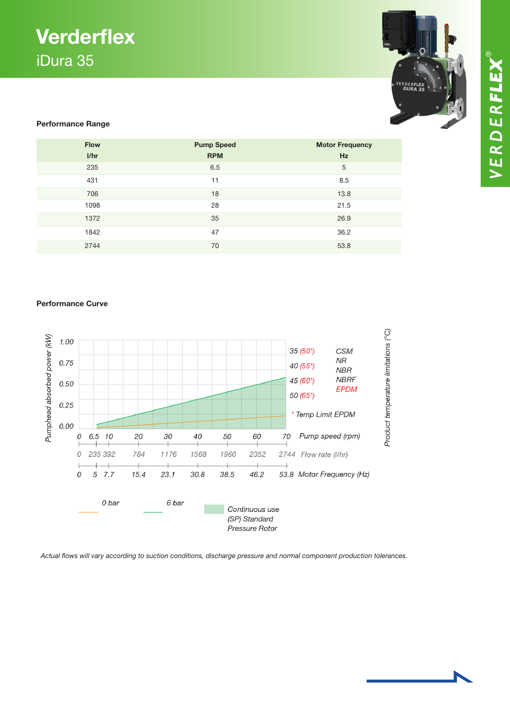### **Verderflex** iDura 35



### Performance Range

| <b>Flow</b> | <b>Pump Speed</b> | <b>Motor Frequency</b> |
|-------------|-------------------|------------------------|
| I/hr        | <b>RPM</b>        | <b>Hz</b>              |
| 235         | 6.5               | 5                      |
| 431         | 11                | 8.5                    |
| 706         | 18                | 13.8                   |
| 1098        | 28                | 21.5                   |
| 1372        | 35                | 26.9                   |
| 1842        | 47                | 36.2                   |
| 2744        | 70                | 53.8                   |

#### Performance Curve



*Actual flows will vary according to suction conditions, discharge pressure and normal component production tolerances.*